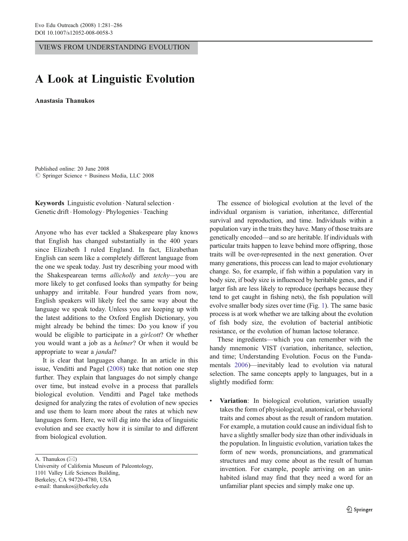VIEWS FROM UNDERSTANDING EVOLUTION

# A Look at Linguistic Evolution

Anastasia Thanukos

Published online: 20 June 2008  $\circ$  Springer Science + Business Media, LLC 2008

Keywords Linguistic evolution . Natural selection . Genetic drift . Homology. Phylogenies. Teaching

Anyone who has ever tackled a Shakespeare play knows that English has changed substantially in the 400 years since Elizabeth I ruled England. In fact, Elizabethan English can seem like a completely different language from the one we speak today. Just try describing your mood with the Shakespearean terms allicholly and tetchy*—*you are more likely to get confused looks than sympathy for being unhappy and irritable. Four hundred years from now, English speakers will likely feel the same way about the language we speak today. Unless you are keeping up with the latest additions to the Oxford English Dictionary, you might already be behind the times: Do you know if you would be eligible to participate in a girlcott? Or whether you would want a job as a helmer? Or when it would be appropriate to wear a jandal?

It is clear that languages change. In an article in this issue, Venditti and Pagel ([2008\)](#page-5-0) take that notion one step further. They explain that languages do not simply change over time, but instead evolve in a process that parallels biological evolution. Venditti and Pagel take methods designed for analyzing the rates of evolution of new species and use them to learn more about the rates at which new languages form. Here, we will dig into the idea of linguistic evolution and see exactly how it is similar to and different from biological evolution.

A. Thanukos ( $\boxtimes$ )

University of California Museum of Paleontology, 1101 Valley Life Sciences Building, Berkeley, CA 94720-4780, USA e-mail: thanukos@berkeley.edu

The essence of biological evolution at the level of the individual organism is variation, inheritance, differential survival and reproduction, and time. Individuals within a population vary in the traits they have. Many of those traits are genetically encoded—and so are heritable. If individuals with particular traits happen to leave behind more offspring, those traits will be over-represented in the next generation. Over many generations, this process can lead to major evolutionary change. So, for example, if fish within a population vary in body size, if body size is influenced by heritable genes, and if larger fish are less likely to reproduce (perhaps because they tend to get caught in fishing nets), the fish population will evolve smaller body sizes over time (Fig. [1](#page-1-0)). The same basic process is at work whether we are talking about the evolution of fish body size, the evolution of bacterial antibiotic resistance, or the evolution of human lactose tolerance.

These ingredients—which you can remember with the handy mnemonic VIST (variation, inheritance, selection, and time; Understanding Evolution. Focus on the Fundamentals [2006](#page-5-0))—inevitably lead to evolution via natural selection. The same concepts apply to languages, but in a slightly modified form:

Variation: In biological evolution, variation usually takes the form of physiological, anatomical, or behavioral traits and comes about as the result of random mutation. For example, a mutation could cause an individual fish to have a slightly smaller body size than other individuals in the population. In linguistic evolution, variation takes the form of new words, pronunciations, and grammatical structures and may come about as the result of human invention. For example, people arriving on an uninhabited island may find that they need a word for an unfamiliar plant species and simply make one up.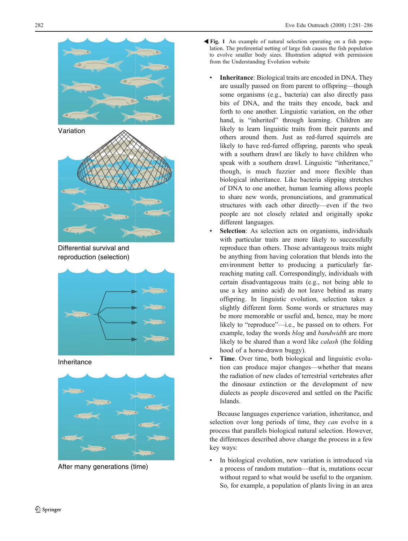<span id="page-1-0"></span>

Differential survival and reproduction (selection)



Inheritance



After many generations (time)

- Fig. 1 An example of natural selection operating on a fish population. The preferential netting of large fish causes the fish population to evolve smaller body sizes. Illustration adapted with permission from the Understanding Evolution website
	- Inheritance: Biological traits are encoded in DNA. They are usually passed on from parent to offspring—though some organisms (e.g., bacteria) can also directly pass bits of DNA, and the traits they encode, back and forth to one another. Linguistic variation, on the other hand, is "inherited" through learning. Children are likely to learn linguistic traits from their parents and others around them. Just as red-furred squirrels are likely to have red-furred offspring, parents who speak with a southern drawl are likely to have children who speak with a southern drawl. Linguistic "inheritance," though, is much fuzzier and more flexible than biological inheritance. Like bacteria slipping stretches of DNA to one another, human learning allows people to share new words, pronunciations, and grammatical structures with each other directly—even if the two people are not closely related and originally spoke different languages.
	- Selection: As selection acts on organisms, individuals with particular traits are more likely to successfully reproduce than others. Those advantageous traits might be anything from having coloration that blends into the environment better to producing a particularly farreaching mating call. Correspondingly, individuals with certain disadvantageous traits (e.g., not being able to use a key amino acid) do not leave behind as many offspring. In linguistic evolution, selection takes a slightly different form. Some words or structures may be more memorable or useful and, hence, may be more likely to "reproduce"—i.e., be passed on to others. For example, today the words *blog* and *bandwidth* are more likely to be shared than a word like *calash* (the folding hood of a horse-drawn buggy).
	- Time. Over time, both biological and linguistic evolution can produce major changes—whether that means the radiation of new clades of terrestrial vertebrates after the dinosaur extinction or the development of new dialects as people discovered and settled on the Pacific Islands.

Because languages experience variation, inheritance, and selection over long periods of time, they *can* evolve in a process that parallels biological natural selection. However, the differences described above change the process in a few key ways:

In biological evolution, new variation is introduced via a process of random mutation—that is, mutations occur without regard to what would be useful to the organism. So, for example, a population of plants living in an area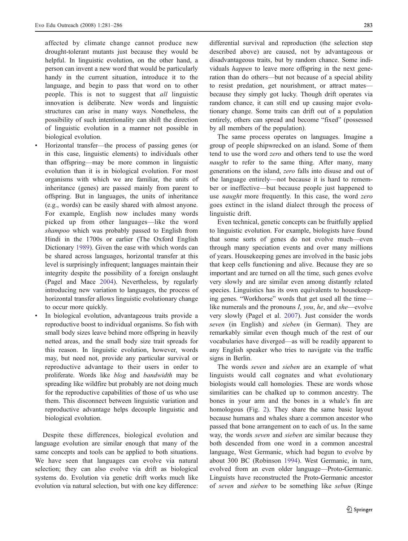affected by climate change cannot produce new drought-tolerant mutants just because they would be helpful. In linguistic evolution, on the other hand, a person can invent a new word that would be particularly handy in the current situation, introduce it to the language, and begin to pass that word on to other people. This is not to suggest that all linguistic innovation is deliberate. New words and linguistic structures can arise in many ways. Nonetheless, the possibility of such intentionality can shift the direction of linguistic evolution in a manner not possible in biological evolution.

- & Horizontal transfer—the process of passing genes (or in this case, linguistic elements) to individuals other than offspring—may be more common in linguistic evolution than it is in biological evolution. For most organisms with which we are familiar, the units of inheritance (genes) are passed mainly from parent to offspring. But in languages, the units of inheritance (e.g., words) can be easily shared with almost anyone. For example, English now includes many words picked up from other languages—like the word shampoo which was probably passed to English from Hindi in the 1700s or earlier (The Oxford English Dictionary [1989\)](#page-5-0). Given the ease with which words can be shared across languages, horizontal transfer at this level is surprisingly infrequent; languages maintain their integrity despite the possibility of a foreign onslaught (Pagel and Mace [2004\)](#page-5-0). Nevertheless, by regularly introducing new variation to languages, the process of horizontal transfer allows linguistic evolutionary change to occur more quickly.
- In biological evolution, advantageous traits provide a reproductive boost to individual organisms. So fish with small body sizes leave behind more offspring in heavily netted areas, and the small body size trait spreads for this reason. In linguistic evolution, however, words may, but need not, provide any particular survival or reproductive advantage to their users in order to proliferate. Words like blog and bandwidth may be spreading like wildfire but probably are not doing much for the reproductive capabilities of those of us who use them. This disconnect between linguistic variation and reproductive advantage helps decouple linguistic and biological evolution.

Despite these differences, biological evolution and language evolution are similar enough that many of the same concepts and tools can be applied to both situations. We have seen that languages can evolve via natural selection; they can also evolve via drift as biological systems do. Evolution via genetic drift works much like evolution via natural selection, but with one key difference:

differential survival and reproduction (the selection step described above) are caused, not by advantageous or disadvantageous traits, but by random chance. Some individuals happen to leave more offspring in the next generation than do others—but not because of a special ability to resist predation, get nourishment, or attract mates because they simply got lucky. Though drift operates via random chance, it can still end up causing major evolutionary change. Some traits can drift out of a population entirely, others can spread and become "fixed" (possessed by all members of the population).

The same process operates on languages. Imagine a group of people shipwrecked on an island. Some of them tend to use the word zero and others tend to use the word naught to refer to the same thing. After many, many generations on the island, zero falls into disuse and out of the language entirely—not because it is hard to remember or ineffective—but because people just happened to use *naught* more frequently. In this case, the word *zero* goes extinct in the island dialect through the process of linguistic drift.

Even technical, genetic concepts can be fruitfully applied to linguistic evolution. For example, biologists have found that some sorts of genes do not evolve much—even through many speciation events and over many millions of years. Housekeeping genes are involved in the basic jobs that keep cells functioning and alive. Because they are so important and are turned on all the time, such genes evolve very slowly and are similar even among distantly related species. Linguistics has its own equivalents to housekeeping genes. "Workhorse" words that get used all the time like numerals and the pronouns I, you, he, and she—evolve very slowly (Pagel et al. [2007\)](#page-5-0). Just consider the words seven (in English) and *sieben* (in German). They are remarkably similar even though much of the rest of our vocabularies have diverged—as will be readily apparent to any English speaker who tries to navigate via the traffic signs in Berlin.

The words seven and sieben are an example of what linguists would call cognates and what evolutionary biologists would call homologies. These are words whose similarities can be chalked up to common ancestry. The bones in your arm and the bones in a whale's fin are homologous (Fig. [2](#page-3-0)). They share the same basic layout because humans and whales share a common ancestor who passed that bone arrangement on to each of us. In the same way, the words seven and sieben are similar because they both descended from one word in a common ancestral language, West Germanic, which had begun to evolve by about 300 BC (Robinson [1994\)](#page-5-0). West Germanic, in turn, evolved from an even older language—Proto-Germanic. Linguists have reconstructed the Proto-Germanic ancestor of seven and sieben to be something like sebun (Ringe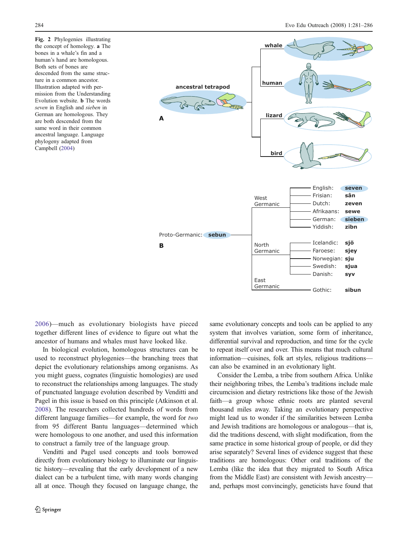<span id="page-3-0"></span>Fig. 2 Phylogenies illustrating the concept of homology. a The bones in a whale's fin and a human's hand are homologous. Both sets of bones are descended from the same structure in a common ancestor. Illustration adapted with permission from the Understanding Evolution website. b The words seven in English and sieben in German are homologous. They are both descended from the same word in their common ancestral language. Language phylogeny adapted from Campbell [\(2004](#page-5-0))



[2006\)](#page-5-0)—much as evolutionary biologists have pieced together different lines of evidence to figure out what the ancestor of humans and whales must have looked like.

In biological evolution, homologous structures can be used to reconstruct phylogenies—the branching trees that depict the evolutionary relationships among organisms. As you might guess, cognates (linguistic homologies) are used to reconstruct the relationships among languages. The study of punctuated language evolution described by Venditti and Pagel in this issue is based on this principle (Atkinson et al. [2008](#page-5-0)). The researchers collected hundreds of words from different language families—for example, the word for two from 95 different Bantu languages—determined which were homologous to one another, and used this information to construct a family tree of the language group.

Venditti and Pagel used concepts and tools borrowed directly from evolutionary biology to illuminate our linguistic history—revealing that the early development of a new dialect can be a turbulent time, with many words changing all at once. Though they focused on language change, the

same evolutionary concepts and tools can be applied to any system that involves variation, some form of inheritance, differential survival and reproduction, and time for the cycle to repeat itself over and over. This means that much cultural information—cuisines, folk art styles, religious traditions can also be examined in an evolutionary light.

Consider the Lemba, a tribe from southern Africa. Unlike their neighboring tribes, the Lemba's traditions include male circumcision and dietary restrictions like those of the Jewish faith—a group whose ethnic roots are planted several thousand miles away. Taking an evolutionary perspective might lead us to wonder if the similarities between Lemba and Jewish traditions are homologous or analogous—that is, did the traditions descend, with slight modification, from the same practice in some historical group of people, or did they arise separately? Several lines of evidence suggest that these traditions are homologous: Other oral traditions of the Lemba (like the idea that they migrated to South Africa from the Middle East) are consistent with Jewish ancestry and, perhaps most convincingly, geneticists have found that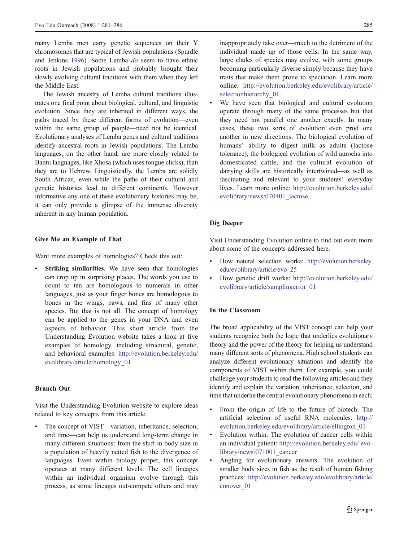many Lemba men carry genetic sequences on their Y chromosomes that are typical of Jewish populations (Spurdle and Jenkins [1996\)](#page-5-0). Some Lemba do seem to have ethnic roots in Jewish populations and probably brought their slowly evolving cultural traditions with them when they left the Middle East.

The Jewish ancestry of Lemba cultural traditions illustrates one final point about biological, cultural, and linguistic evolution. Since they are inherited in different ways, the paths traced by these different forms of evolution—even within the same group of people—need not be identical. Evolutionary analyses of Lemba genes and cultural traditions identify ancestral roots in Jewish populations. The Lemba languages, on the other hand, are more closely related to Bantu languages, like Xhosa (which uses tongue clicks), than they are to Hebrew. Linguistically, the Lemba are solidly South African, even while the paths of their cultural and genetic histories lead to different continents. However informative any one of these evolutionary histories may be, it can only provide a glimpse of the immense diversity inherent in any human population.

#### Give Me an Example of That

Want more examples of homologies? Check this out:

Striking similarities. We have seen that homologies can crop up in surprising places. The words you use to count to ten are homologous to numerals in other languages, just as your finger bones are homologous to bones in the wings, paws, and fins of many other species. But that is not all. The concept of homology can be applied to the genes in your DNA and even aspects of behavior. This short article from the Understanding Evolution website takes a look at five examples of homology, including structural, genetic, and behavioral examples: [http://evolution.berkeley.edu/](http://evolution.berkeley.edu/evolibrary/article/homology_01) [evolibrary/article/homology\\_01.](http://evolution.berkeley.edu/evolibrary/article/homology_01)

## Branch Out

Visit the Understanding Evolution website to explore ideas related to key concepts from this article.

The concept of VIST—variation, inheritance, selection, and time—can help us understand long-term change in many different situations: from the shift in body size in a population of heavily netted fish to the divergence of languages. Even within biology proper, this concept operates at many different levels. The cell lineages within an individual organism evolve through this process, as some lineages out-compete others and may

inappropriately take over—much to the detriment of the individual made up of those cells. In the same way, large clades of species may evolve, with some groups becoming particularly diverse simply because they have traits that make them prone to speciation. Learn more online: [http://evolution.berkeley.edu/evolibrary/article/](http://evolution.berkeley.edu/evolibrary/article/selectionhierarchy_01) selectionhierarchy 01.

We have seen that biological and cultural evolution operate through many of the same processes but that they need not parallel one another exactly. In many cases, these two sorts of evolution even prod one another in new directions. The biological evolution of humans' ability to digest milk as adults (lactose tolerance), the biological evolution of wild aurochs into domesticated cattle, and the cultural evolution of dairying skills are historically intertwined—as well as fascinating and relevant to your students' everyday lives. Learn more online: [http://evolution.berkeley.edu/](http://evolution.berkeley.edu/evolibrary/news/070401_lactose) [evolibrary/news/070401\\_lactose.](http://evolution.berkeley.edu/evolibrary/news/070401_lactose)

### Dig Deeper

Visit Understanding Evolution online to find out even more about some of the concepts addressed here.

- How natural selection works: [http://evolution.berkeley.](http://evolution.berkeley.edu/evolibrary/article/evo_25) [edu/evolibrary/article/evo\\_25](http://evolution.berkeley.edu/evolibrary/article/evo_25)
- & How genetic drift works: [http://evolution.berkeley.edu/](http://evolution.berkeley.edu/evolibrary/article/samplingerror_01) [evolibrary/article/samplingerror\\_01](http://evolution.berkeley.edu/evolibrary/article/samplingerror_01)

#### In the Classroom

The broad applicability of the VIST concept can help your students recognize both the logic that underlies evolutionary theory and the power of the theory for helping us understand many different sorts of phenomena. High school students can analyze different evolutionary situations and identify the components of VIST within them. For example, you could challenge your students to read the following articles and they identify and explain the variation, inheritance, selection, and time that underlie the central evolutionary phenomena in each:

- & From the origin of life to the future of biotech. The artificial selection of useful RNA molecules: [http://](http://evolution.berkeley.edu/evolibrary/article/ellington_01) [evolution.berkeley.edu/evolibrary/article/ellington\\_01](http://evolution.berkeley.edu/evolibrary/article/ellington_01)
- Evolution within. The evolution of cancer cells within an individual patient: [http://evolution.berkeley.edu/ evo](http://evolution.berkeley.edu/evolibrary/news/071001_cancer)[library/news/071001\\_cancer](http://evolution.berkeley.edu/evolibrary/news/071001_cancer)
- & Angling for evolutionary answers. The evolution of smaller body sizes in fish as the result of human fishing practices: [http://evolution.berkeley.edu/evolibrary/article/](http://evolution.berkeley.edu/evolibrary/article/conover_01) [conover\\_01](http://evolution.berkeley.edu/evolibrary/article/conover_01)